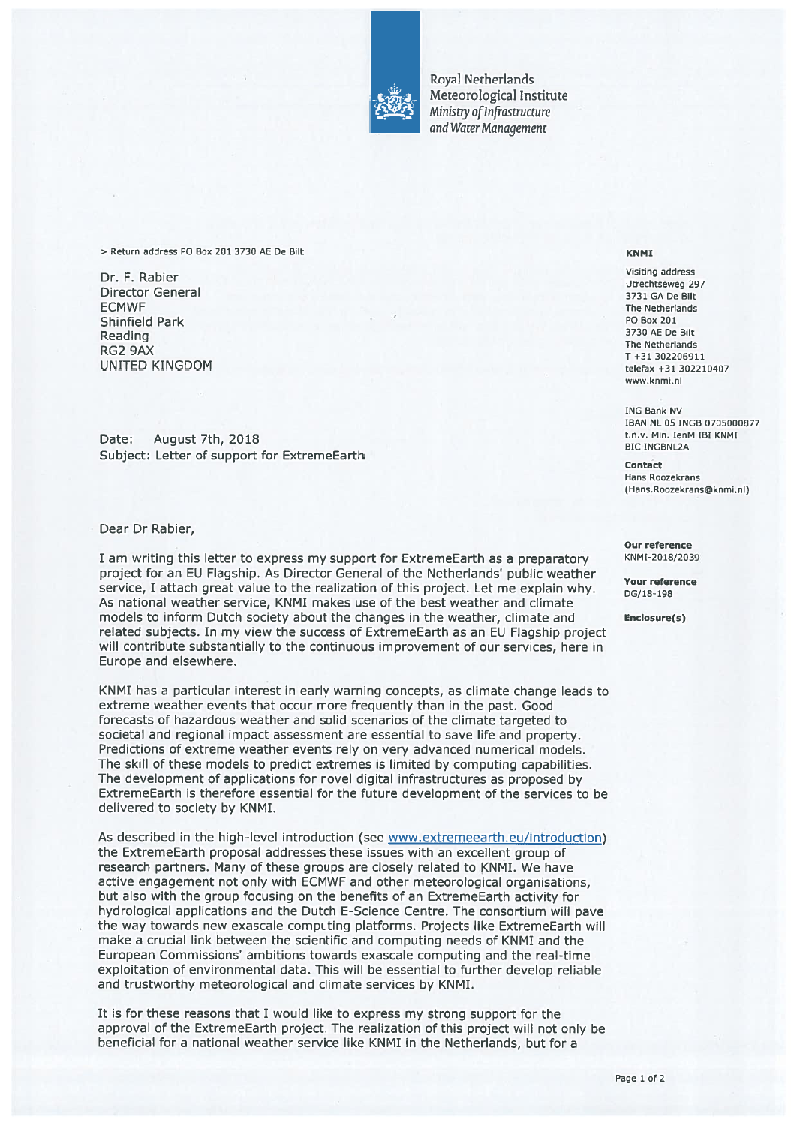

Royal Netherlands Meteorological Institute Ministry of Infrastructure and Water Management

<sup>&</sup>gt; Return address P0 Box 201 3730 AE De Bilt KNMI

Visiting address Dr. F. Rabiet utrechtseweg <sup>297</sup> Director General <sup>3731</sup> GA De Bilt **ECMWF** The Netherlands Shinfield Park PO Box 201 Reading 3730 AE De Bilt<br>RG2 9AX The Netherlands The Netherlands The Netherlands The Netherlands T<br>T +31 302206911 UNITED KINGDOM telefax +31 <sup>302210407</sup>

Date: August 7th, 2018 and the Channel Communist Channel Channel Channel Channel Channel Channel Channel Channel Channel Channel Bic INGBNL2A Subject: Letter of support for ExtremeEarth Contact Contact

Dear Dr Rabier,

I am writing this letter to express my support for ExtremeEarth as a preparatory KNMI-2018/2039 project for an EU Flagship. As Director General of the Netherlands' public weather<br>service, I attach great value to the realization of this project. Let me explain why. DG/18-198 As national weather service, KNMI makes use of the best weather and climate models to inform Dutch society about the changes in the weather, climate and Enclosure(s) related subjects. In my view the success of ExtremeEarth as an EU Flagship project will contribute substantially to the continuous improvement of our services, here in Europe and elsewhere.

KNMI has <sup>a</sup> particular interest in early warning concepts, as climate change leads to extreme weather events that occur more frequently than in the past. Good forecasts of hazardous weather and solid scenarios of the climate targeted to societal and regional impact assessment are essential to save life and property. Predictions of extreme weather events rely on very advanced numerical models. The skill of these models to predict extremes is limited by computing capabilities. The development of applications for novel digital infrastructures as proposed by ExtremeEarth is therefore essential for the future development of the services to be delivered to society by KNMI.

As described in the high-level introduction (see www.extremeearth.eu/introduction) the ExtremeEarth proposal addresses these issues with an excellent group of research partners. Many of these groups are closely related to KNMI. We have active engagemen<sup>t</sup> not only with ECMWF and other meteorological organisations, but also with the group focusing on the benefits of an ExtremeEarth activity for hydrological applications and the Dutch E-Science Centre. The consortium will pave the way towards new exascale computing platforms. Projects like ExtremeEarth will make <sup>a</sup> crucial link between the scientific and computing needs of KNMI and the European Commissions' ambitions towards exascale computing and the real-time exploitation of environmental data. This will be essential to further develop reliable and trustworthy meteorological and climate services by KNMI.

It is for these reasons that 1 would like to express my strong suppor<sup>t</sup> for the approval of the ExtremeEarth project. The realization of this project will not only be beneficial for <sup>a</sup> national weather service like KNMI in the Netherlands, but for <sup>a</sup>

www.knmi.ni

ING Bank NV IBAN NL 05 INGS 0705000877

Hans Roozekrans (Hans.Roozekrans@knmi.nl)

Our reference